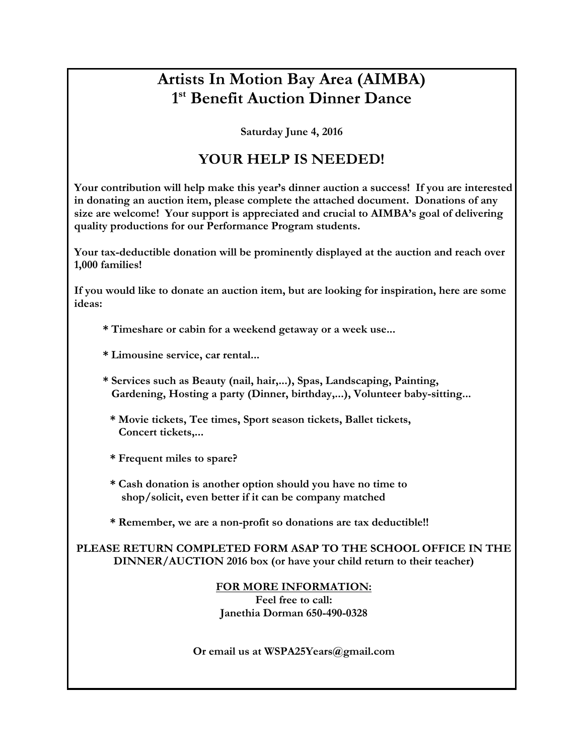## **Artists In Motion Bay Area (AIMBA) 1st Benefit Auction Dinner Dance**

**Saturday June 4, 2016**

## **YOUR HELP IS NEEDED!**

**Your contribution will help make this year's dinner auction a success! If you are interested in donating an auction item, please complete the attached document. Donations of any size are welcome! Your support is appreciated and crucial to AIMBA's goal of delivering quality productions for our Performance Program students.**

**Your tax-deductible donation will be prominently displayed at the auction and reach over 1,000 families!**

**If you would like to donate an auction item, but are looking for inspiration, here are some ideas:**

**\* Timeshare or cabin for a weekend getaway or a week use...**

- **\* Limousine service, car rental...**
- **\* Services such as Beauty (nail, hair,...), Spas, Landscaping, Painting, Gardening, Hosting a party (Dinner, birthday,...), Volunteer baby-sitting...**
	- **\* Movie tickets, Tee times, Sport season tickets, Ballet tickets, Concert tickets,...**
	- **\* Frequent miles to spare?**
	- **\* Cash donation is another option should you have no time to shop/solicit, even better if it can be company matched**
	- **\* Remember, we are a non-profit so donations are tax deductible!!**

**PLEASE RETURN COMPLETED FORM ASAP TO THE SCHOOL OFFICE IN THE DINNER/AUCTION 2016 box (or have your child return to their teacher)**

**FOR MORE INFORMATION:**

**Feel free to call: Janethia Dorman 650-490-0328**

**Or email us at WSPA25Years@gmail.com**